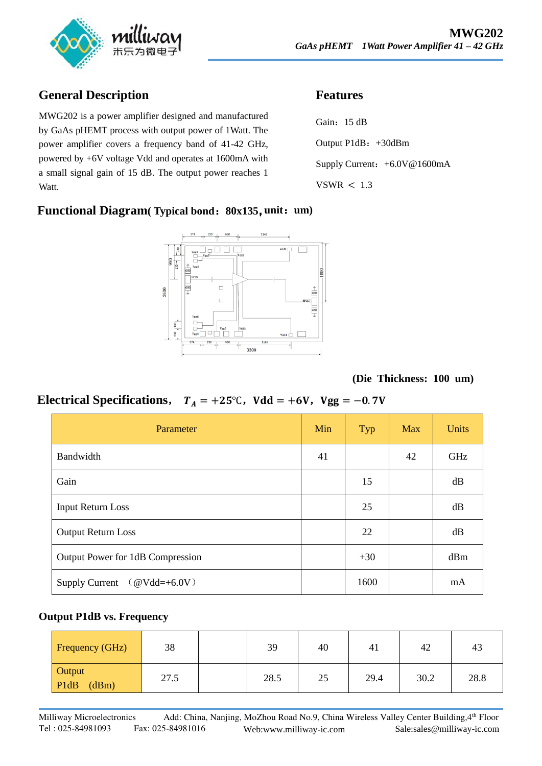

# **General Description**

MWG202 is a power amplifier designed and manufactured by GaAs pHEMT process with output power of 1Watt. The power amplifier covers a frequency band of 41-42 GHz, powered by +6V voltage Vdd and operates at 1600mA with a small signal gain of 15 dB. The output power reaches 1 Watt.

### **Functional Diagram( Typical bond**:**80x135**,**unit**:**um)**



## **Features**

Gain: 15 dB Output P1dB: +30dBm Supply Current: +6.0V@1600mA VSWR  $< 1.3$ 

**(Die Thickness: 100 um)** 

# **Electrical Specifications,**  $T_A = +25^\circ \text{C}$ ,  $V d d = +6V$ ,  $Vgg = -0.7V$

| Parameter                                   | Min | Typ   | <b>Max</b> | <b>Units</b> |
|---------------------------------------------|-----|-------|------------|--------------|
| Bandwidth                                   | 41  |       | 42         | GHz          |
| Gain                                        |     | 15    |            | dB           |
| <b>Input Return Loss</b>                    |     | 25    |            | dB           |
| <b>Output Return Loss</b>                   |     | 22    |            | dB           |
| Output Power for 1dB Compression            |     | $+30$ |            | dBm          |
| Supply Current $(\textcircled{ }Vdd=+6.0V)$ |     | 1600  |            | mA           |

#### **Output P1dB vs. Frequency**

| Frequency (GHz)         | 38   | 39   | 40 | 41   | 42   | 43   |
|-------------------------|------|------|----|------|------|------|
| Output<br>PldB<br>(dBm) | 27.5 | 28.5 | 25 | 29.4 | 30.2 | 28.8 |